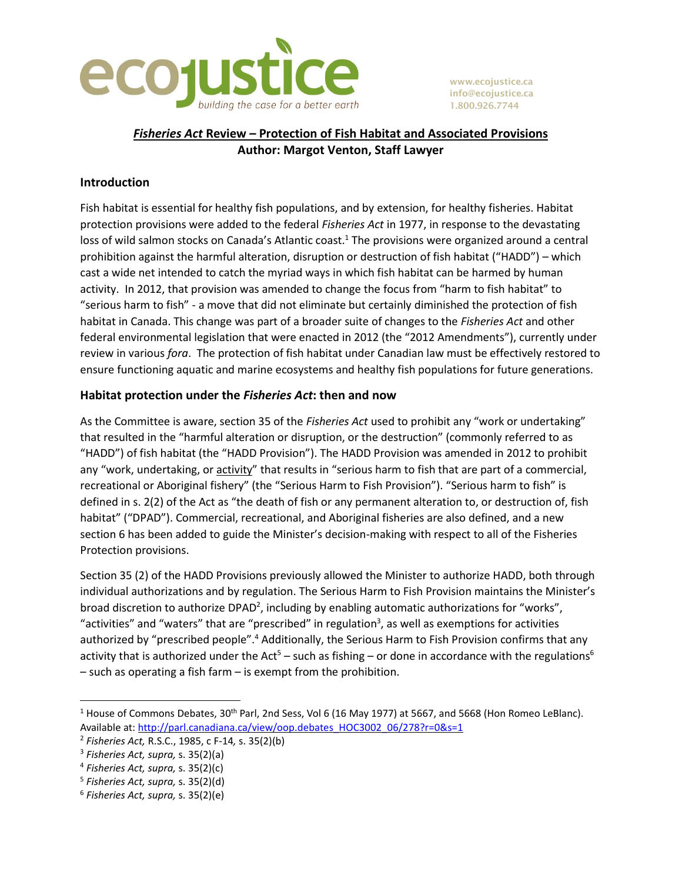

**www.ecojustice.ca info@ecojustice.ca 1.800.926.7744**

# *Fisheries Act* **Review – Protection of Fish Habitat and Associated Provisions Author: Margot Venton, Staff Lawyer**

# **Introduction**

Fish habitat is essential for healthy fish populations, and by extension, for healthy fisheries. Habitat protection provisions were added to the federal *Fisheries Act* in 1977, in response to the devastating loss of wild salmon stocks on Canada's Atlantic coast.<sup>1</sup> The provisions were organized around a central prohibition against the harmful alteration, disruption or destruction of fish habitat ("HADD") – which cast a wide net intended to catch the myriad ways in which fish habitat can be harmed by human activity. In 2012, that provision was amended to change the focus from "harm to fish habitat" to "serious harm to fish" - a move that did not eliminate but certainly diminished the protection of fish habitat in Canada. This change was part of a broader suite of changes to the *Fisheries Act* and other federal environmental legislation that were enacted in 2012 (the "2012 Amendments"), currently under review in various *fora*. The protection of fish habitat under Canadian law must be effectively restored to ensure functioning aquatic and marine ecosystems and healthy fish populations for future generations.

## **Habitat protection under the** *Fisheries Act***: then and now**

As the Committee is aware, section 35 of the *Fisheries Act* used to prohibit any "work or undertaking" that resulted in the "harmful alteration or disruption, or the destruction" (commonly referred to as "HADD") of fish habitat (the "HADD Provision"). The HADD Provision was amended in 2012 to prohibit any "work, undertaking, or activity" that results in "serious harm to fish that are part of a commercial, recreational or Aboriginal fishery" (the "Serious Harm to Fish Provision"). "Serious harm to fish" is defined in s. 2(2) of the Act as "the death of fish or any permanent alteration to, or destruction of, fish habitat" ("DPAD"). Commercial, recreational, and Aboriginal fisheries are also defined, and a new section 6 has been added to guide the Minister's decision-making with respect to all of the Fisheries Protection provisions.

Section 35 (2) of the HADD Provisions previously allowed the Minister to authorize HADD, both through individual authorizations and by regulation. The Serious Harm to Fish Provision maintains the Minister's broad discretion to authorize DPAD<sup>2</sup>, including by enabling automatic authorizations for "works", "activities" and "waters" that are "prescribed" in regulation<sup>3</sup>, as well as exemptions for activities authorized by "prescribed people".<sup>4</sup> Additionally, the Serious Harm to Fish Provision confirms that any activity that is authorized under the Act<sup>5</sup> – such as fishing – or done in accordance with the regulations<sup>6</sup> – such as operating a fish farm – is exempt from the prohibition.

<sup>&</sup>lt;sup>1</sup> House of Commons Debates, 30<sup>th</sup> Parl, 2nd Sess, Vol 6 (16 May 1977) at 5667, and 5668 (Hon Romeo LeBlanc). Available at: [http://parl.canadiana.ca/view/oop.debates\\_HOC3002\\_06/278?r=0&s=1](http://parl.canadiana.ca/view/oop.debates_HOC3002_06/278?r=0&s=1)

<sup>2</sup> *Fisheries Act,* R.S.C., 1985, c F-14*,* s. 35(2)(b)

<sup>3</sup> *Fisheries Act, supra,* s. 35(2)(a)

<sup>4</sup> *Fisheries Act, supra,* s. 35(2)(c)

<sup>5</sup> *Fisheries Act, supra,* s. 35(2)(d)

<sup>6</sup> *Fisheries Act, supra,* s. 35(2)(e)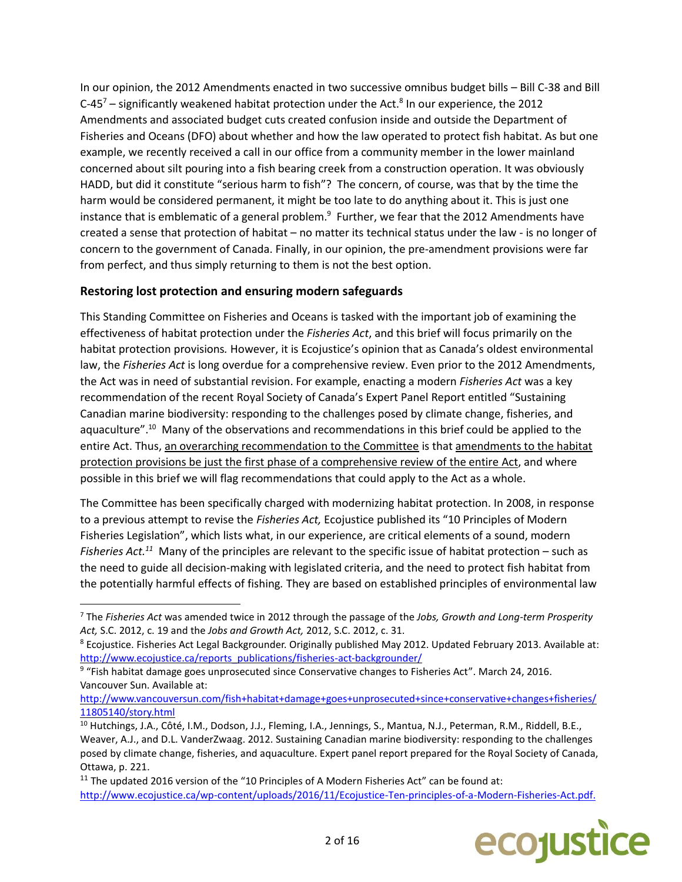In our opinion, the 2012 Amendments enacted in two successive omnibus budget bills – Bill C-38 and Bill C-45<sup>7</sup> – significantly weakened habitat protection under the Act.<sup>8</sup> In our experience, the 2012 Amendments and associated budget cuts created confusion inside and outside the Department of Fisheries and Oceans (DFO) about whether and how the law operated to protect fish habitat. As but one example, we recently received a call in our office from a community member in the lower mainland concerned about silt pouring into a fish bearing creek from a construction operation. It was obviously HADD, but did it constitute "serious harm to fish"? The concern, of course, was that by the time the harm would be considered permanent, it might be too late to do anything about it. This is just one instance that is emblematic of a general problem. $^9$  Further, we fear that the 2012 Amendments have created a sense that protection of habitat – no matter its technical status under the law - is no longer of concern to the government of Canada. Finally, in our opinion, the pre-amendment provisions were far from perfect, and thus simply returning to them is not the best option.

# **Restoring lost protection and ensuring modern safeguards**

l

This Standing Committee on Fisheries and Oceans is tasked with the important job of examining the effectiveness of habitat protection under the *Fisheries Act*, and this brief will focus primarily on the habitat protection provisions*.* However, it is Ecojustice's opinion that as Canada's oldest environmental law, the *Fisheries Act* is long overdue for a comprehensive review. Even prior to the 2012 Amendments, the Act was in need of substantial revision. For example, enacting a modern *Fisheries Act* was a key recommendation of the recent Royal Society of Canada's Expert Panel Report entitled "Sustaining Canadian marine biodiversity: responding to the challenges posed by climate change, fisheries, and aquaculture".<sup>10</sup> Many of the observations and recommendations in this brief could be applied to the entire Act. Thus, an overarching recommendation to the Committee is that amendments to the habitat protection provisions be just the first phase of a comprehensive review of the entire Act, and where possible in this brief we will flag recommendations that could apply to the Act as a whole.

The Committee has been specifically charged with modernizing habitat protection. In 2008, in response to a previous attempt to revise the *Fisheries Act,* Ecojustice published its "10 Principles of Modern Fisheries Legislation", which lists what, in our experience, are critical elements of a sound, modern Fisheries Act.<sup>11</sup> Many of the principles are relevant to the specific issue of habitat protection – such as the need to guide all decision-making with legislated criteria, and the need to protect fish habitat from the potentially harmful effects of fishing*.* They are based on established principles of environmental law

<sup>&</sup>lt;sup>11</sup> The updated 2016 version of the "10 Principles of A Modern Fisheries Act" can be found at: [http://www.ecojustice.ca/wp-content/uploads/2016/11/Ecojustice-Ten-principles-of-a-Modern-Fisheries-Act.pdf.](http://www.ecojustice.ca/wp-content/uploads/2016/11/Ecojustice-Ten-principles-of-a-Modern-Fisheries-Act.pdf)



<sup>7</sup> The *Fisheries Act* was amended twice in 2012 through the passage of the *Jobs, Growth and Long-term Prosperity Act,* S.C. 2012, c. 19 and the *Jobs and Growth Act,* 2012, S.C. 2012, c. 31.

 $8$  Ecojustice. Fisheries Act Legal Backgrounder. Originally published May 2012. Updated February 2013. Available at: [http://www.ecojustice.ca/reports\\_publications/fisheries-act-backgrounder/](http://www.ecojustice.ca/reports_publications/fisheries-act-backgrounder/)

<sup>&</sup>lt;sup>9</sup> "Fish habitat damage goes unprosecuted since Conservative changes to Fisheries Act". March 24, 2016. Vancouver Sun. Available at:

[http://www.vancouversun.com/fish+habitat+damage+goes+unprosecuted+since+conservative+changes+fisheries/](http://www.vancouversun.com/fish+habitat+damage+goes+unprosecuted+since+conservative+changes+fisheries/11805140/story.html) [11805140/story.html](http://www.vancouversun.com/fish+habitat+damage+goes+unprosecuted+since+conservative+changes+fisheries/11805140/story.html)

<sup>&</sup>lt;sup>10</sup> Hutchings, J.A., Côté, I.M., Dodson, J.J., Fleming, I.A., Jennings, S., Mantua, N.J., Peterman, R.M., Riddell, B.E., Weaver, A.J., and D.L. VanderZwaag. 2012. Sustaining Canadian marine biodiversity: responding to the challenges posed by climate change, fisheries, and aquaculture. Expert panel report prepared for the Royal Society of Canada, Ottawa, p. 221.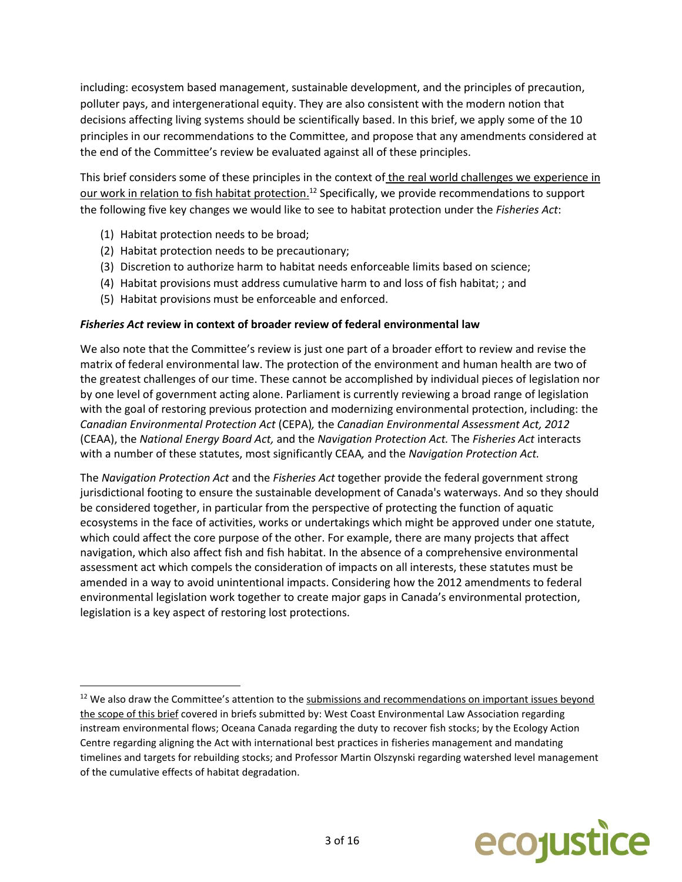including: ecosystem based management, sustainable development, and the principles of precaution, polluter pays, and intergenerational equity. They are also consistent with the modern notion that decisions affecting living systems should be scientifically based. In this brief, we apply some of the 10 principles in our recommendations to the Committee, and propose that any amendments considered at the end of the Committee's review be evaluated against all of these principles.

This brief considers some of these principles in the context of the real world challenges we experience in our work in relation to fish habitat protection.<sup>12</sup> Specifically, we provide recommendations to support the following five key changes we would like to see to habitat protection under the *Fisheries Act*:

(1) Habitat protection needs to be broad;

 $\overline{\phantom{a}}$ 

- (2) Habitat protection needs to be precautionary;
- (3) Discretion to authorize harm to habitat needs enforceable limits based on science;
- (4) Habitat provisions must address cumulative harm to and loss of fish habitat; ; and
- (5) Habitat provisions must be enforceable and enforced.

### *Fisheries Act* **review in context of broader review of federal environmental law**

We also note that the Committee's review is just one part of a broader effort to review and revise the matrix of federal environmental law. The protection of the environment and human health are two of the greatest challenges of our time. These cannot be accomplished by individual pieces of legislation nor by one level of government acting alone. Parliament is currently reviewing a broad range of legislation with the goal of restoring previous protection and modernizing environmental protection, including: the *Canadian Environmental Protection Act* (CEPA)*,* the *Canadian Environmental Assessment Act, 2012* (CEAA), the *National Energy Board Act,* and the *Navigation Protection Act.* The *Fisheries Act* interacts with a number of these statutes, most significantly CEAA*,* and the *Navigation Protection Act.* 

The *Navigation Protection Act* and the *Fisheries Act* together provide the federal government strong jurisdictional footing to ensure the sustainable development of Canada's waterways. And so they should be considered together, in particular from the perspective of protecting the function of aquatic ecosystems in the face of activities, works or undertakings which might be approved under one statute, which could affect the core purpose of the other. For example, there are many projects that affect navigation, which also affect fish and fish habitat. In the absence of a comprehensive environmental assessment act which compels the consideration of impacts on all interests, these statutes must be amended in a way to avoid unintentional impacts. Considering how the 2012 amendments to federal environmental legislation work together to create major gaps in Canada's environmental protection, legislation is a key aspect of restoring lost protections.

<sup>&</sup>lt;sup>12</sup> We also draw the Committee's attention to the submissions and recommendations on important issues beyond the scope of this brief covered in briefs submitted by: West Coast Environmental Law Association regarding instream environmental flows; Oceana Canada regarding the duty to recover fish stocks; by the Ecology Action Centre regarding aligning the Act with international best practices in fisheries management and mandating timelines and targets for rebuilding stocks; and Professor Martin Olszynski regarding watershed level management of the cumulative effects of habitat degradation.

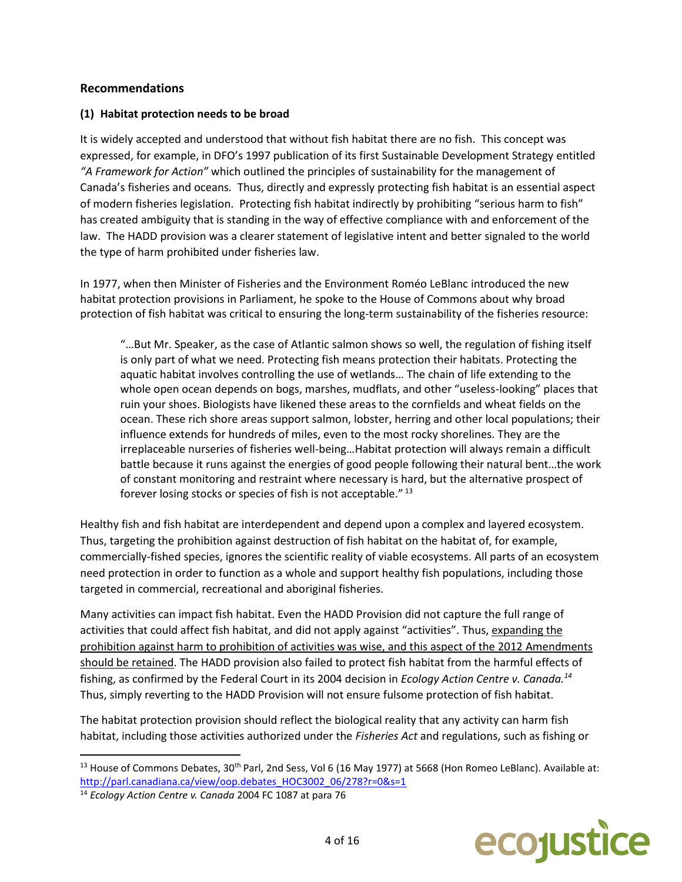# **Recommendations**

# **(1) Habitat protection needs to be broad**

It is widely accepted and understood that without fish habitat there are no fish. This concept was expressed, for example, in DFO's 1997 publication of its first Sustainable Development Strategy entitled *"A Framework for Action"* which outlined the principles of sustainability for the management of Canada's fisheries and oceans*.* Thus, directly and expressly protecting fish habitat is an essential aspect of modern fisheries legislation. Protecting fish habitat indirectly by prohibiting "serious harm to fish" has created ambiguity that is standing in the way of effective compliance with and enforcement of the law. The HADD provision was a clearer statement of legislative intent and better signaled to the world the type of harm prohibited under fisheries law.

In 1977, when then Minister of Fisheries and the Environment Roméo LeBlanc introduced the new habitat protection provisions in Parliament, he spoke to the House of Commons about why broad protection of fish habitat was critical to ensuring the long-term sustainability of the fisheries resource:

"…But Mr. Speaker, as the case of Atlantic salmon shows so well, the regulation of fishing itself is only part of what we need. Protecting fish means protection their habitats. Protecting the aquatic habitat involves controlling the use of wetlands… The chain of life extending to the whole open ocean depends on bogs, marshes, mudflats, and other "useless-looking" places that ruin your shoes. Biologists have likened these areas to the cornfields and wheat fields on the ocean. These rich shore areas support salmon, lobster, herring and other local populations; their influence extends for hundreds of miles, even to the most rocky shorelines. They are the irreplaceable nurseries of fisheries well-being…Habitat protection will always remain a difficult battle because it runs against the energies of good people following their natural bent…the work of constant monitoring and restraint where necessary is hard, but the alternative prospect of forever losing stocks or species of fish is not acceptable." <sup>13</sup>

Healthy fish and fish habitat are interdependent and depend upon a complex and layered ecosystem. Thus, targeting the prohibition against destruction of fish habitat on the habitat of, for example, commercially-fished species, ignores the scientific reality of viable ecosystems. All parts of an ecosystem need protection in order to function as a whole and support healthy fish populations, including those targeted in commercial, recreational and aboriginal fisheries.

Many activities can impact fish habitat. Even the HADD Provision did not capture the full range of activities that could affect fish habitat, and did not apply against "activities". Thus, expanding the prohibition against harm to prohibition of activities was wise, and this aspect of the 2012 Amendments should be retained. The HADD provision also failed to protect fish habitat from the harmful effects of fishing, as confirmed by the Federal Court in its 2004 decision in *Ecology Action Centre v. Canada.<sup>14</sup>*  Thus, simply reverting to the HADD Provision will not ensure fulsome protection of fish habitat.

The habitat protection provision should reflect the biological reality that any activity can harm fish habitat, including those activities authorized under the *Fisheries Act* and regulations, such as fishing or



 $13$  House of Commons Debates, 30<sup>th</sup> Parl, 2nd Sess, Vol 6 (16 May 1977) at 5668 (Hon Romeo LeBlanc). Available at: [http://parl.canadiana.ca/view/oop.debates\\_HOC3002\\_06/278?r=0&s=1](http://parl.canadiana.ca/view/oop.debates_HOC3002_06/278?r=0&s=1)

<sup>14</sup> *Ecology Action Centre v. Canada* 2004 FC 1087 at para 76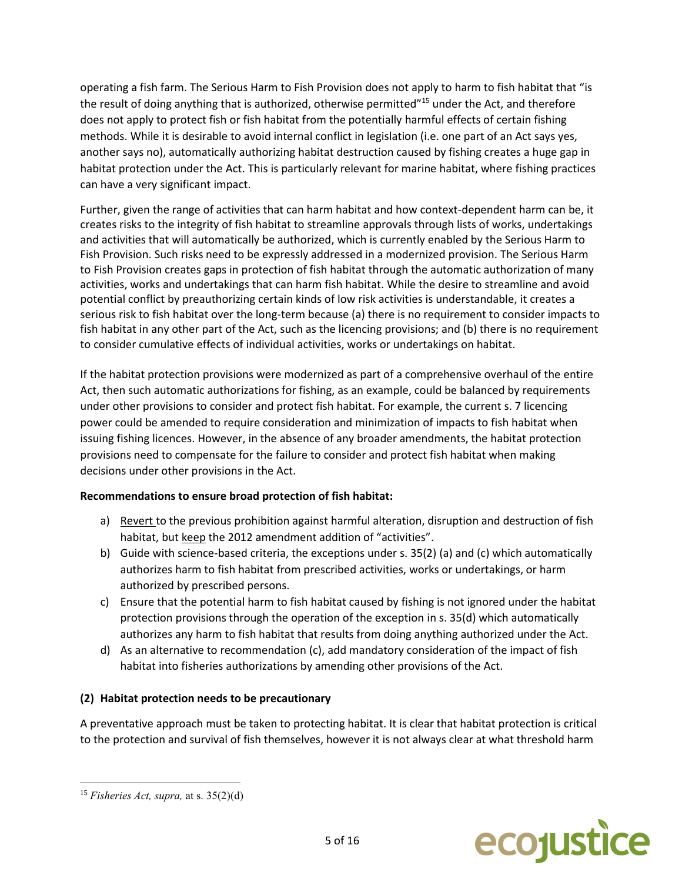operating a fish farm. The Serious Harm to Fish Provision does not apply to harm to fish habitat that "is the result of doing anything that is authorized, otherwise permitted"<sup>15</sup> under the Act, and therefore does not apply to protect fish or fish habitat from the potentially harmful effects of certain fishing methods. While it is desirable to avoid internal conflict in legislation (i.e. one part of an Act says yes, another says no), automatically authorizing habitat destruction caused by fishing creates a huge gap in habitat protection under the Act. This is particularly relevant for marine habitat, where fishing practices can have a very significant impact.

Further, given the range of activities that can harm habitat and how context-dependent harm can be, it creates risks to the integrity of fish habitat to streamline approvals through lists of works, undertakings and activities that will automatically be authorized, which is currently enabled by the Serious Harm to Fish Provision. Such risks need to be expressly addressed in a modernized provision. The Serious Harm to Fish Provision creates gaps in protection of fish habitat through the automatic authorization of many activities, works and undertakings that can harm fish habitat. While the desire to streamline and avoid potential conflict by preauthorizing certain kinds of low risk activities is understandable, it creates a serious risk to fish habitat over the long-term because (a) there is no requirement to consider impacts to fish habitat in any other part of the Act, such as the licencing provisions; and (b) there is no requirement to consider cumulative effects of individual activities, works or undertakings on habitat.

If the habitat protection provisions were modernized as part of a comprehensive overhaul of the entire Act, then such automatic authorizations for fishing, as an example, could be balanced by requirements under other provisions to consider and protect fish habitat. For example, the current s. 7 licencing power could be amended to require consideration and minimization of impacts to fish habitat when issuing fishing licences. However, in the absence of any broader amendments, the habitat protection provisions need to compensate for the failure to consider and protect fish habitat when making decisions under other provisions in the Act.

# **Recommendations to ensure broad protection of fish habitat:**

- a) Revert to the previous prohibition against harmful alteration, disruption and destruction of fish habitat, but keep the 2012 amendment addition of "activities".
- b) Guide with science-based criteria, the exceptions under s. 35(2) (a) and (c) which automatically authorizes harm to fish habitat from prescribed activities, works or undertakings, or harm authorized by prescribed persons.
- c) Ensure that the potential harm to fish habitat caused by fishing is not ignored under the habitat protection provisions through the operation of the exception in s. 35(d) which automatically authorizes any harm to fish habitat that results from doing anything authorized under the Act.
- d) As an alternative to recommendation (c), add mandatory consideration of the impact of fish habitat into fisheries authorizations by amending other provisions of the Act.

# **(2) Habitat protection needs to be precautionary**

A preventative approach must be taken to protecting habitat. It is clear that habitat protection is critical to the protection and survival of fish themselves, however it is not always clear at what threshold harm



<sup>15</sup> *Fisheries Act, supra,* at s. 35(2)(d)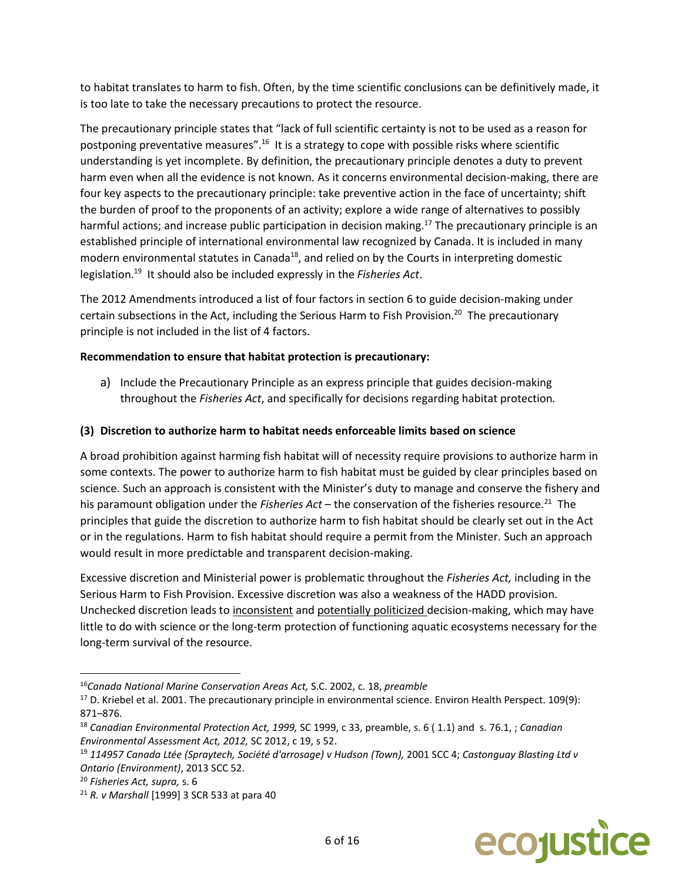to habitat translates to harm to fish. Often, by the time scientific conclusions can be definitively made, it is too late to take the necessary precautions to protect the resource.

The precautionary principle states that "lack of full scientific certainty is not to be used as a reason for postponing preventative measures".<sup>16</sup> It is a strategy to cope with possible risks where scientific understanding is yet incomplete. By definition, the precautionary principle denotes a duty to prevent harm even when all the evidence is not known*.* As it concerns environmental decision-making, there are four key aspects to the precautionary principle: take preventive action in the face of uncertainty; shift the burden of proof to the proponents of an activity; explore a wide range of alternatives to possibly harmful actions; and increase public participation in decision making.<sup>17</sup> The precautionary principle is an established principle of international environmental law recognized by Canada. It is included in many modern environmental statutes in Canada<sup>18</sup>, and relied on by the Courts in interpreting domestic legislation.<sup>19</sup> It should also be included expressly in the Fisheries Act.

The 2012 Amendments introduced a list of four factors in section 6 to guide decision-making under certain subsections in the Act, including the Serious Harm to Fish Provision.<sup>20</sup> The precautionary principle is not included in the list of 4 factors.

## **Recommendation to ensure that habitat protection is precautionary:**

a) Include the Precautionary Principle as an express principle that guides decision-making throughout the *Fisheries Act*, and specifically for decisions regarding habitat protection*.*

## **(3) Discretion to authorize harm to habitat needs enforceable limits based on science**

A broad prohibition against harming fish habitat will of necessity require provisions to authorize harm in some contexts. The power to authorize harm to fish habitat must be guided by clear principles based on science. Such an approach is consistent with the Minister's duty to manage and conserve the fishery and his paramount obligation under the *Fisheries Act* – the conservation of the fisheries resource.<sup>21</sup> The principles that guide the discretion to authorize harm to fish habitat should be clearly set out in the Act or in the regulations. Harm to fish habitat should require a permit from the Minister. Such an approach would result in more predictable and transparent decision-making.

Excessive discretion and Ministerial power is problematic throughout the *Fisheries Act,* including in the Serious Harm to Fish Provision. Excessive discretion was also a weakness of the HADD provision. Unchecked discretion leads to inconsistent and potentially politicized decision-making, which may have little to do with science or the long-term protection of functioning aquatic ecosystems necessary for the long-term survival of the resource.



<sup>16</sup>*Canada National Marine Conservation Areas Act,* S.C. 2002, c. 18, *preamble*

<sup>&</sup>lt;sup>17</sup> D. Kriebel et al. 2001. The precautionary principle in environmental science. Environ Health [Perspect.](https://www.ncbi.nlm.nih.gov/pmc/articles/PMC1240435/) 109(9): 871–876.

<sup>18</sup> *Canadian Environmental Protection Act, 1999,* SC 1999, c 33, preamble, s. 6 ( 1.1) and s. 76.1, ; *Canadian Environmental Assessment Act, 2012,* SC 2012, c 19, s 52.

<sup>19</sup> *114957 Canada Ltée (Spraytech, Société d'arrosage) v Hudson (Town),* 2001 SCC 4; *Castonguay Blasting Ltd v Ontario (Environment)*, 2013 SCC 52.

<sup>20</sup> *Fisheries Act, supra,* s. 6

<sup>21</sup> *R. v Marshall* [1999] 3 SCR 533 at para 40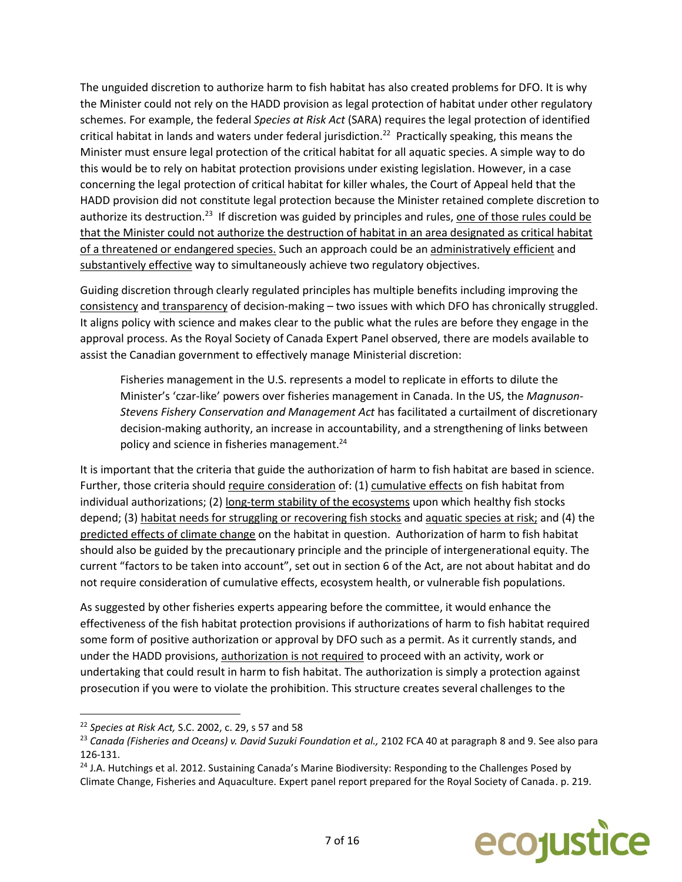The unguided discretion to authorize harm to fish habitat has also created problems for DFO. It is why the Minister could not rely on the HADD provision as legal protection of habitat under other regulatory schemes. For example, the federal *Species at Risk Act* (SARA) requires the legal protection of identified critical habitat in lands and waters under federal jurisdiction.<sup>22</sup> Practically speaking, this means the Minister must ensure legal protection of the critical habitat for all aquatic species. A simple way to do this would be to rely on habitat protection provisions under existing legislation. However, in a case concerning the legal protection of critical habitat for killer whales, the Court of Appeal held that the HADD provision did not constitute legal protection because the Minister retained complete discretion to authorize its destruction.<sup>23</sup> If discretion was guided by principles and rules, <u>one of those rules could be</u> that the Minister could not authorize the destruction of habitat in an area designated as critical habitat of a threatened or endangered species. Such an approach could be an administratively efficient and substantively effective way to simultaneously achieve two regulatory objectives.

Guiding discretion through clearly regulated principles has multiple benefits including improving the consistency and transparency of decision-making - two issues with which DFO has chronically struggled. It aligns policy with science and makes clear to the public what the rules are before they engage in the approval process. As the Royal Society of Canada Expert Panel observed, there are models available to assist the Canadian government to effectively manage Ministerial discretion:

Fisheries management in the U.S. represents a model to replicate in efforts to dilute the Minister's 'czar-like' powers over fisheries management in Canada. In the US, the *Magnuson-Stevens Fishery Conservation and Management Act* has facilitated a curtailment of discretionary decision-making authority, an increase in accountability, and a strengthening of links between policy and science in fisheries management.<sup>24</sup>

It is important that the criteria that guide the authorization of harm to fish habitat are based in science. Further, those criteria should require consideration of: (1) cumulative effects on fish habitat from individual authorizations; (2) long-term stability of the ecosystems upon which healthy fish stocks depend; (3) habitat needs for struggling or recovering fish stocks and aquatic species at risk; and (4) the predicted effects of climate change on the habitat in question. Authorization of harm to fish habitat should also be guided by the precautionary principle and the principle of intergenerational equity. The current "factors to be taken into account", set out in section 6 of the Act, are not about habitat and do not require consideration of cumulative effects, ecosystem health, or vulnerable fish populations.

As suggested by other fisheries experts appearing before the committee, it would enhance the effectiveness of the fish habitat protection provisions if authorizations of harm to fish habitat required some form of positive authorization or approval by DFO such as a permit. As it currently stands, and under the HADD provisions, authorization is not required to proceed with an activity, work or undertaking that could result in harm to fish habitat. The authorization is simply a protection against prosecution if you were to violate the prohibition. This structure creates several challenges to the

 $\overline{a}$ 

<sup>&</sup>lt;sup>24</sup> J.A. Hutchings et al. 2012. Sustaining Canada's Marine Biodiversity: Responding to the Challenges Posed by Climate Change, Fisheries and Aquaculture. Expert panel report prepared for the Royal Society of Canada. p. 219.



<sup>22</sup> *Species at Risk Act,* S.C. 2002, c. 29, s 57 and 58

<sup>23</sup> *Canada (Fisheries and Oceans) v. David Suzuki Foundation et al.,* 2102 FCA 40 at paragraph 8 and 9. See also para 126-131.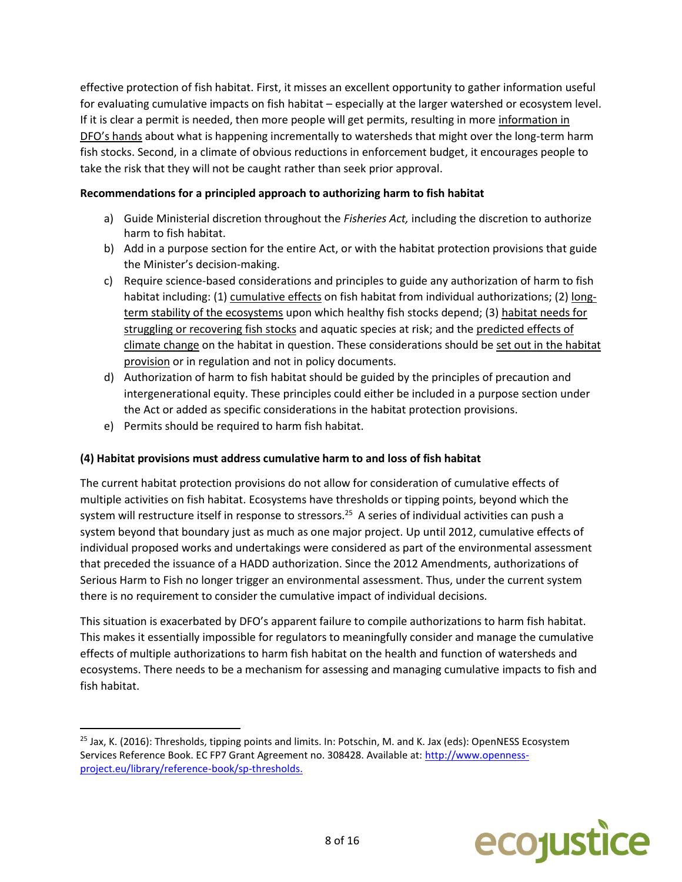effective protection of fish habitat. First, it misses an excellent opportunity to gather information useful for evaluating cumulative impacts on fish habitat – especially at the larger watershed or ecosystem level. If it is clear a permit is needed, then more people will get permits, resulting in more information in DFO's hands about what is happening incrementally to watersheds that might over the long-term harm fish stocks. Second, in a climate of obvious reductions in enforcement budget, it encourages people to take the risk that they will not be caught rather than seek prior approval.

# **Recommendations for a principled approach to authorizing harm to fish habitat**

- a) Guide Ministerial discretion throughout the *Fisheries Act,* including the discretion to authorize harm to fish habitat.
- b) Add in a purpose section for the entire Act, or with the habitat protection provisions that guide the Minister's decision-making.
- c) Require science-based considerations and principles to guide any authorization of harm to fish habitat including: (1) cumulative effects on fish habitat from individual authorizations; (2) longterm stability of the ecosystems upon which healthy fish stocks depend; (3) habitat needs for struggling or recovering fish stocks and aquatic species at risk; and the predicted effects of climate change on the habitat in question. These considerations should be set out in the habitat provision or in regulation and not in policy documents.
- d) Authorization of harm to fish habitat should be guided by the principles of precaution and intergenerational equity. These principles could either be included in a purpose section under the Act or added as specific considerations in the habitat protection provisions.
- e) Permits should be required to harm fish habitat.

l

# **(4) Habitat provisions must address cumulative harm to and loss of fish habitat**

The current habitat protection provisions do not allow for consideration of cumulative effects of multiple activities on fish habitat. Ecosystems have thresholds or tipping points, beyond which the system will restructure itself in response to stressors.<sup>25</sup> A series of individual activities can push a system beyond that boundary just as much as one major project. Up until 2012, cumulative effects of individual proposed works and undertakings were considered as part of the environmental assessment that preceded the issuance of a HADD authorization. Since the 2012 Amendments, authorizations of Serious Harm to Fish no longer trigger an environmental assessment. Thus, under the current system there is no requirement to consider the cumulative impact of individual decisions.

This situation is exacerbated by DFO's apparent failure to compile authorizations to harm fish habitat. This makes it essentially impossible for regulators to meaningfully consider and manage the cumulative effects of multiple authorizations to harm fish habitat on the health and function of watersheds and ecosystems. There needs to be a mechanism for assessing and managing cumulative impacts to fish and fish habitat.

<sup>&</sup>lt;sup>25</sup> Jax, K. (2016): Thresholds, tipping points and limits. In: Potschin, M. and K. Jax (eds): OpenNESS Ecosystem Services Reference Book. EC FP7 Grant Agreement no. 308428. Available at: [http://www.openness](http://www.openness-project.eu/library/reference-book/sp-thresholds)[project.eu/library/reference-book/sp-thresholds.](http://www.openness-project.eu/library/reference-book/sp-thresholds)

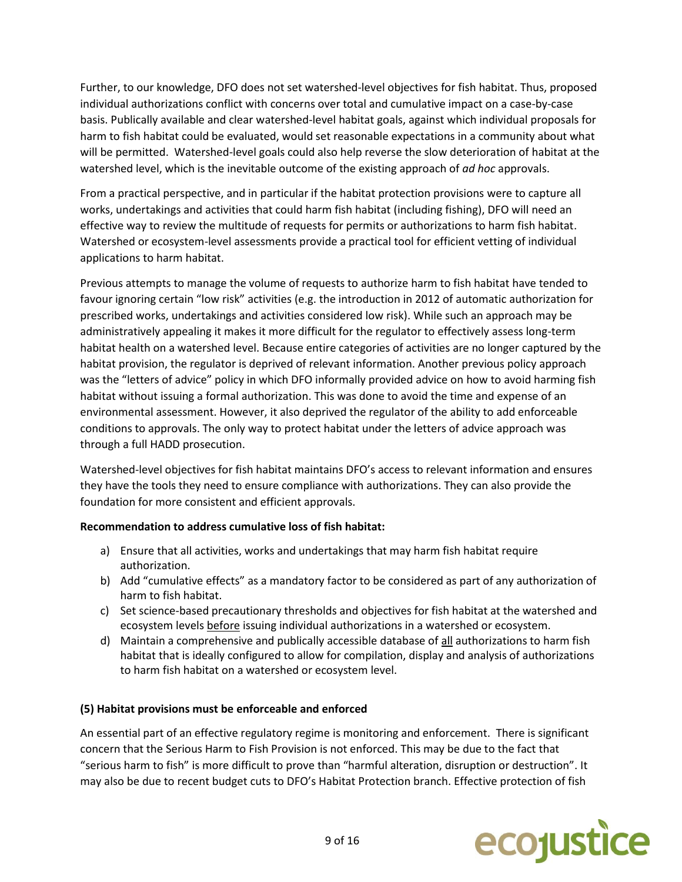Further, to our knowledge, DFO does not set watershed-level objectives for fish habitat. Thus, proposed individual authorizations conflict with concerns over total and cumulative impact on a case-by-case basis. Publically available and clear watershed-level habitat goals, against which individual proposals for harm to fish habitat could be evaluated, would set reasonable expectations in a community about what will be permitted. Watershed-level goals could also help reverse the slow deterioration of habitat at the watershed level, which is the inevitable outcome of the existing approach of *ad hoc* approvals.

From a practical perspective, and in particular if the habitat protection provisions were to capture all works, undertakings and activities that could harm fish habitat (including fishing), DFO will need an effective way to review the multitude of requests for permits or authorizations to harm fish habitat. Watershed or ecosystem-level assessments provide a practical tool for efficient vetting of individual applications to harm habitat.

Previous attempts to manage the volume of requests to authorize harm to fish habitat have tended to favour ignoring certain "low risk" activities (e.g. the introduction in 2012 of automatic authorization for prescribed works, undertakings and activities considered low risk). While such an approach may be administratively appealing it makes it more difficult for the regulator to effectively assess long-term habitat health on a watershed level. Because entire categories of activities are no longer captured by the habitat provision, the regulator is deprived of relevant information. Another previous policy approach was the "letters of advice" policy in which DFO informally provided advice on how to avoid harming fish habitat without issuing a formal authorization. This was done to avoid the time and expense of an environmental assessment. However, it also deprived the regulator of the ability to add enforceable conditions to approvals. The only way to protect habitat under the letters of advice approach was through a full HADD prosecution.

Watershed-level objectives for fish habitat maintains DFO's access to relevant information and ensures they have the tools they need to ensure compliance with authorizations. They can also provide the foundation for more consistent and efficient approvals.

# **Recommendation to address cumulative loss of fish habitat:**

- a) Ensure that all activities, works and undertakings that may harm fish habitat require authorization.
- b) Add "cumulative effects" as a mandatory factor to be considered as part of any authorization of harm to fish habitat.
- c) Set science-based precautionary thresholds and objectives for fish habitat at the watershed and ecosystem levels before issuing individual authorizations in a watershed or ecosystem.
- d) Maintain a comprehensive and publically accessible database of all authorizations to harm fish habitat that is ideally configured to allow for compilation, display and analysis of authorizations to harm fish habitat on a watershed or ecosystem level.

### **(5) Habitat provisions must be enforceable and enforced**

An essential part of an effective regulatory regime is monitoring and enforcement. There is significant concern that the Serious Harm to Fish Provision is not enforced. This may be due to the fact that "serious harm to fish" is more difficult to prove than "harmful alteration, disruption or destruction". It may also be due to recent budget cuts to DFO's Habitat Protection branch. Effective protection of fish

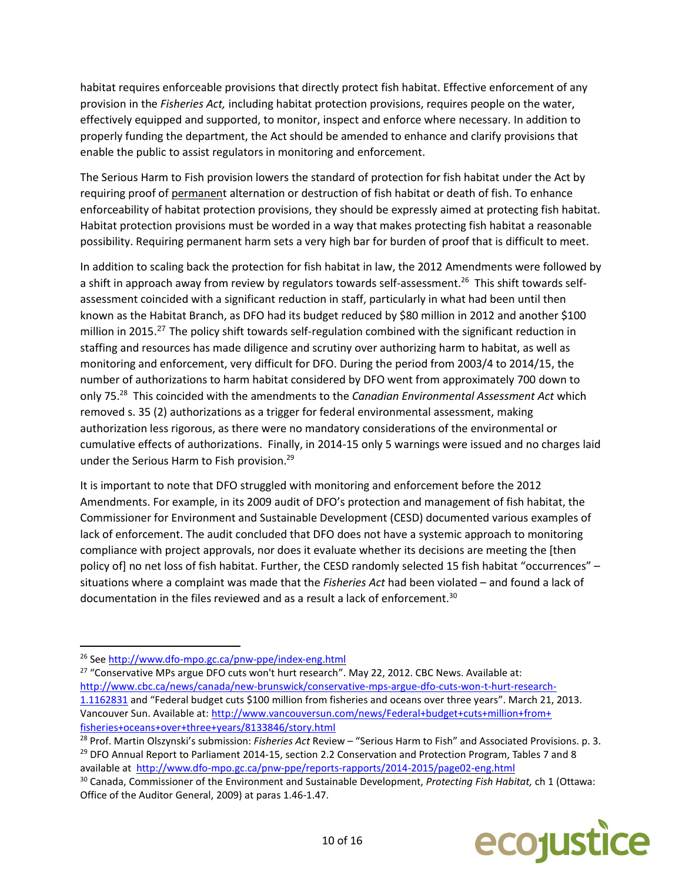habitat requires enforceable provisions that directly protect fish habitat. Effective enforcement of any provision in the *Fisheries Act,* including habitat protection provisions, requires people on the water, effectively equipped and supported, to monitor, inspect and enforce where necessary. In addition to properly funding the department, the Act should be amended to enhance and clarify provisions that enable the public to assist regulators in monitoring and enforcement.

The Serious Harm to Fish provision lowers the standard of protection for fish habitat under the Act by requiring proof of permanent alternation or destruction of fish habitat or death of fish. To enhance enforceability of habitat protection provisions, they should be expressly aimed at protecting fish habitat. Habitat protection provisions must be worded in a way that makes protecting fish habitat a reasonable possibility. Requiring permanent harm sets a very high bar for burden of proof that is difficult to meet.

In addition to scaling back the protection for fish habitat in law, the 2012 Amendments were followed by a shift in approach away from review by regulators towards self-assessment.<sup>26</sup> This shift towards selfassessment coincided with a significant reduction in staff, particularly in what had been until then known as the Habitat Branch, as DFO had its budget reduced by \$80 million in 2012 and another \$100 million in 2015.<sup>27</sup> The policy shift towards self-regulation combined with the significant reduction in staffing and resources has made diligence and scrutiny over authorizing harm to habitat, as well as monitoring and enforcement, very difficult for DFO. During the period from 2003/4 to 2014/15, the number of authorizations to harm habitat considered by DFO went from approximately 700 down to only 75. 28 This coincided with the amendments to the *Canadian Environmental Assessment Act* which removed s. 35 (2) authorizations as a trigger for federal environmental assessment, making authorization less rigorous, as there were no mandatory considerations of the environmental or cumulative effects of authorizations. Finally, in 2014-15 only 5 warnings were issued and no charges laid under the Serious Harm to Fish provision. 29

It is important to note that DFO struggled with monitoring and enforcement before the 2012 Amendments. For example, in its 2009 audit of DFO's protection and management of fish habitat, the Commissioner for Environment and Sustainable Development (CESD) documented various examples of lack of enforcement. The audit concluded that DFO does not have a systemic approach to monitoring compliance with project approvals, nor does it evaluate whether its decisions are meeting the [then policy of] no net loss of fish habitat. Further, the CESD randomly selected 15 fish habitat "occurrences" – situations where a complaint was made that the *Fisheries Act* had been violated – and found a lack of documentation in the files reviewed and as a result a lack of enforcement.<sup>30</sup>

 $\overline{a}$ 

<sup>27</sup> "Conservative MPs argue DFO cuts won't hurt research". May 22, 2012. CBC News. Available at: [http://www.cbc.ca/news/canada/new-brunswick/conservative-mps-argue-dfo-cuts-won-t-hurt-research-](http://www.cbc.ca/news/canada/new-brunswick/conservative-mps-argue-dfo-cuts-won-t-hurt-research-1.1162831)[1.1162831](http://www.cbc.ca/news/canada/new-brunswick/conservative-mps-argue-dfo-cuts-won-t-hurt-research-1.1162831) and "Federal budget cuts \$100 million from fisheries and oceans over three years". March 21, 2013. Vancouver Sun. Available at: [http://www.vancouversun.com/news/Federal+budget+cuts+million+from+](http://www.vancouversun.com/news/Federal+budget+cuts+million+from+%20fisheries+oceans+over+three+years/8133846/story.html)  [fisheries+oceans+over+three+years/8133846/story.html](http://www.vancouversun.com/news/Federal+budget+cuts+million+from+%20fisheries+oceans+over+three+years/8133846/story.html)

<sup>30</sup> Canada, Commissioner of the Environment and Sustainable Development, *Protecting Fish Habitat,* ch 1 (Ottawa: Office of the Auditor General, 2009) at paras 1.46-1.47.



<sup>26</sup> See <http://www.dfo-mpo.gc.ca/pnw-ppe/index-eng.html>

<sup>28</sup> Prof. Martin Olszynski's submission: *Fisheries Act* Review – "Serious Harm to Fish" and Associated Provisions. p. 3. <sup>29</sup> DFO Annual Report to Parliament 2014-15, section 2.2 Conservation and Protection Program, Tables 7 and 8 available at<http://www.dfo-mpo.gc.ca/pnw-ppe/reports-rapports/2014-2015/page02-eng.html>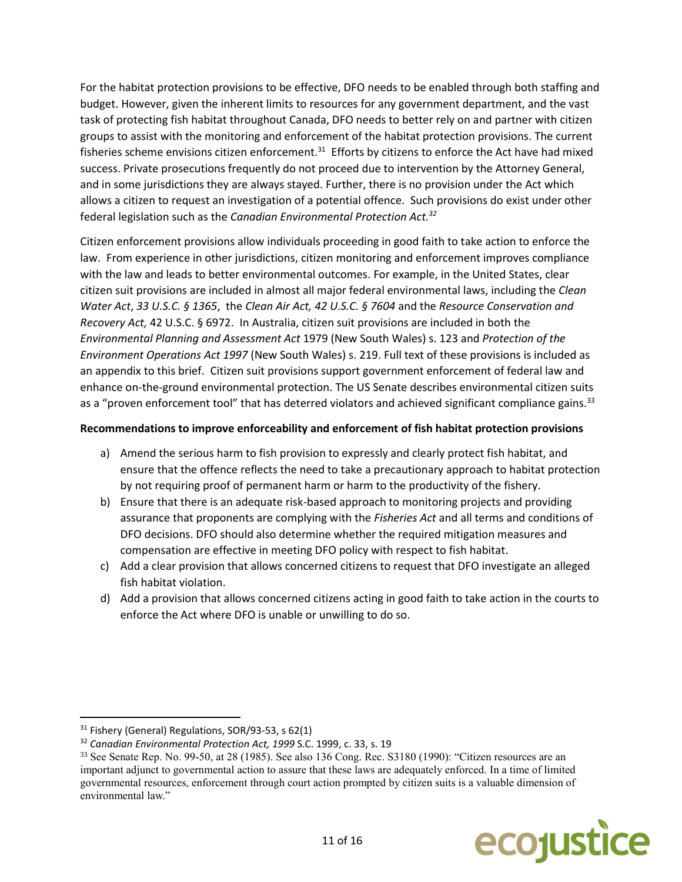For the habitat protection provisions to be effective, DFO needs to be enabled through both staffing and budget. However, given the inherent limits to resources for any government department, and the vast task of protecting fish habitat throughout Canada, DFO needs to better rely on and partner with citizen groups to assist with the monitoring and enforcement of the habitat protection provisions. The current fisheries scheme envisions citizen enforcement.<sup>31</sup> Efforts by citizens to enforce the Act have had mixed success. Private prosecutions frequently do not proceed due to intervention by the Attorney General, and in some jurisdictions they are always stayed. Further, there is no provision under the Act which allows a citizen to request an investigation of a potential offence. Such provisions do exist under other federal legislation such as the *Canadian Environmental Protection Act.<sup>32</sup>*

Citizen enforcement provisions allow individuals proceeding in good faith to take action to enforce the law. From experience in other jurisdictions, citizen monitoring and enforcement improves compliance with the law and leads to better environmental outcomes. For example, in the United States, clear citizen suit provisions are included in almost all major federal environmental laws, including the *Clean Water Act*, *33 U.S.C. § 1365*, the *Clean Air Act, 42 U.S.C. § 7604* and the *Resource Conservation and Recovery Act,* 42 U.S.C. § 6972. In Australia, citizen suit provisions are included in both the *Environmental Planning and Assessment Act* 1979 (New South Wales) s. 123 and *Protection of the Environment Operations Act 1997* (New South Wales) s. 219. Full text of these provisions is included as an appendix to this brief. Citizen suit provisions support government enforcement of federal law and enhance on-the-ground environmental protection. The US Senate describes environmental citizen suits as a "proven enforcement tool" that has deterred violators and achieved significant compliance gains.<sup>33</sup>

## **Recommendations to improve enforceability and enforcement of fish habitat protection provisions**

- a) Amend the serious harm to fish provision to expressly and clearly protect fish habitat, and ensure that the offence reflects the need to take a precautionary approach to habitat protection by not requiring proof of permanent harm or harm to the productivity of the fishery.
- b) Ensure that there is an adequate risk-based approach to monitoring projects and providing assurance that proponents are complying with the *Fisheries Act* and all terms and conditions of DFO decisions. DFO should also determine whether the required mitigation measures and compensation are effective in meeting DFO policy with respect to fish habitat.
- c) Add a clear provision that allows concerned citizens to request that DFO investigate an alleged fish habitat violation.
- d) Add a provision that allows concerned citizens acting in good faith to take action in the courts to enforce the Act where DFO is unable or unwilling to do so.

<sup>33</sup> See Senate Rep. No. 99-50, at 28 (1985). See also 136 Cong. Rec. S3180 (1990): "Citizen resources are an important adjunct to governmental action to assure that these laws are adequately enforced. In a time of limited governmental resources, enforcement through court action prompted by citizen suits is a valuable dimension of environmental law."



<sup>31</sup> Fishery (General) Regulations, SOR/93-53, s 62(1)

<sup>32</sup> *Canadian Environmental Protection Act, 1999* S.C. 1999, c. 33, s. 19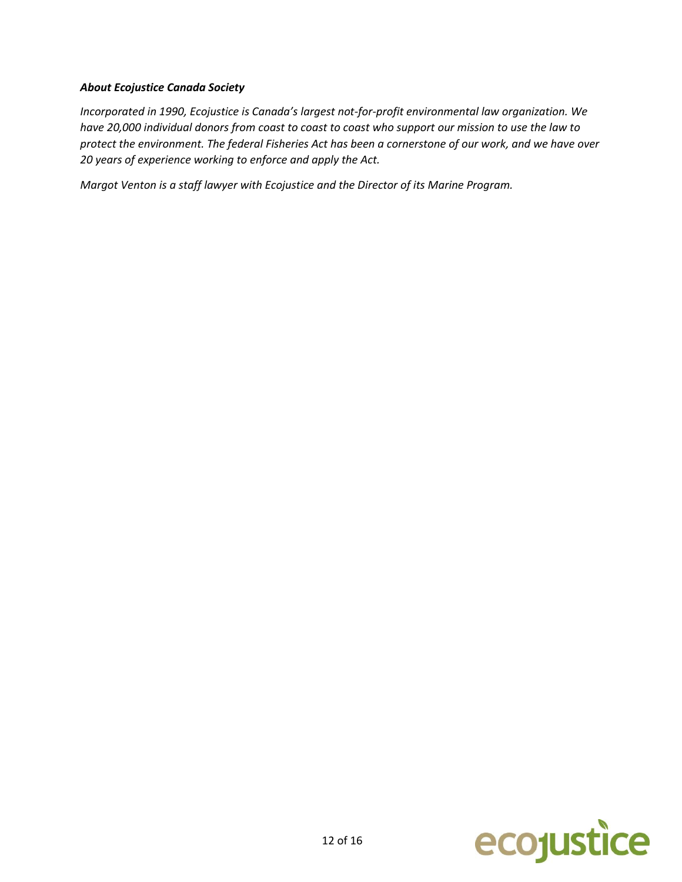### *About Ecojustice Canada Society*

*Incorporated in 1990, Ecojustice is Canada's largest not-for-profit environmental law organization. We have 20,000 individual donors from coast to coast to coast who support our mission to use the law to protect the environment. The federal Fisheries Act has been a cornerstone of our work, and we have over 20 years of experience working to enforce and apply the Act.*

*Margot Venton is a staff lawyer with Ecojustice and the Director of its Marine Program.* 

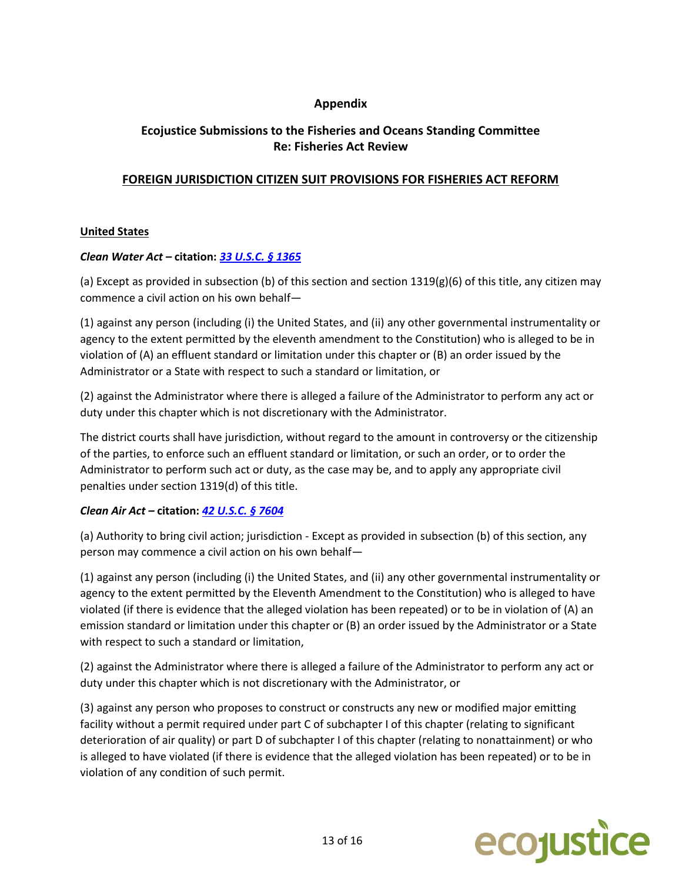# **Appendix**

# **Ecojustice Submissions to the Fisheries and Oceans Standing Committee Re: Fisheries Act Review**

# **FOREIGN JURISDICTION CITIZEN SUIT PROVISIONS FOR FISHERIES ACT REFORM**

## **United States**

## *Clean Water Act –* **citation:** *[33 U.S.C. § 1365](https://www.law.cornell.edu/uscode/text/33/1365)*

(a) Except as provided in subsection (b) of this section and section 1319(g)(6) of this title, any citizen may commence a civil action on his own behalf—

(1) against any person (including (i) the United States, and (ii) any other governmental instrumentality or agency to the extent permitted by the eleventh amendment to the Constitution) who is alleged to be in violation of (A) an effluent standard or limitation under this chapter or (B) an order issued by the Administrator or a State with respect to such a standard or limitation, or

(2) against the Administrator where there is alleged a failure of the Administrator to perform any act or duty under this chapter which is not discretionary with the Administrator.

The district courts shall have jurisdiction, without regard to the amount in controversy or the citizenship of the parties, to enforce such an effluent standard or limitation, or such an order, or to order the Administrator to perform such act or duty, as the case may be, and to apply any appropriate civil penalties under section 1319(d) of this title.

# *Clean Air Act –* **citation:** *[42 U.S.C. § 7604](https://www.law.cornell.edu/uscode/text/42/7604)*

(a) Authority to bring civil action; jurisdiction - Except as provided in subsection (b) of this section, any person may commence a civil action on his own behalf—

(1) against any person (including (i) the United States, and (ii) any other governmental instrumentality or agency to the extent permitted by the Eleventh Amendment to the Constitution) who is alleged to have violated (if there is evidence that the alleged violation has been repeated) or to be in violation of (A) an emission standard or limitation under this chapter or (B) an order issued by the Administrator or a State with respect to such a standard or limitation,

(2) against the Administrator where there is alleged a failure of the Administrator to perform any act or duty under this chapter which is not discretionary with the Administrator, or

(3) against any person who proposes to construct or constructs any new or modified major emitting facility without a permit required under part C of subchapter I of this chapter (relating to significant deterioration of air quality) or part D of subchapter I of this chapter (relating to nonattainment) or who is alleged to have violated (if there is evidence that the alleged violation has been repeated) or to be in violation of any condition of such permit.

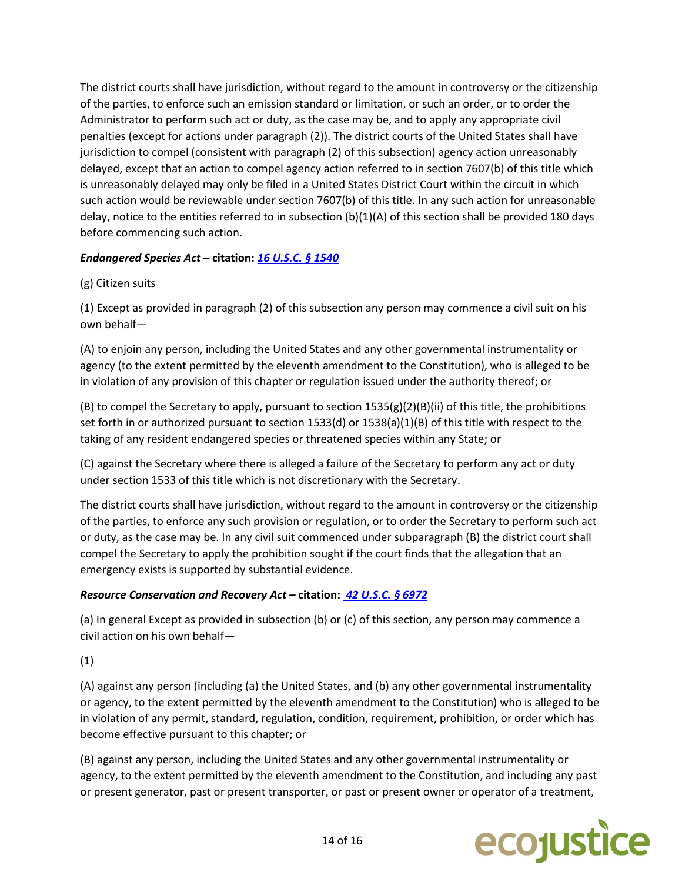The district courts shall have jurisdiction, without regard to the amount in controversy or the citizenship of the parties, to enforce such an emission standard or limitation, or such an order, or to order the Administrator to perform such act or duty, as the case may be, and to apply any appropriate civil penalties (except for actions under paragraph (2)). The district courts of the United States shall have jurisdiction to compel (consistent with paragraph (2) of this subsection) agency action unreasonably delayed, except that an action to compel agency action referred to in section 7607(b) of this title which is unreasonably delayed may only be filed in a United States District Court within the circuit in which such action would be reviewable under section 7607(b) of this title. In any such action for unreasonable delay, notice to the entities referred to in subsection (b)(1)(A) of this section shall be provided 180 days before commencing such action.

# *Endangered Species Act* **– citation:** *[16 U.S.C.](https://www.law.cornell.edu/uscode/text/16/1540) § 1540*

# (g) Citizen suits

(1) Except as provided in paragraph (2) of this subsection any person may commence a civil suit on his own behalf—

(A) to enjoin any person, including the United States and any other governmental instrumentality or agency (to the extent permitted by the eleventh amendment to the Constitution), who is alleged to be in violation of any provision of this chapter or regulation issued under the authority thereof; or

(B) to compel the Secretary to apply, pursuant to section  $1535(g)(2)(B)(ii)$  of this title, the prohibitions set forth in or authorized pursuant to section 1533(d) or 1538(a)(1)(B) of this title with respect to the taking of any resident endangered species or threatened species within any State; or

(C) against the Secretary where there is alleged a failure of the Secretary to perform any act or duty under section 1533 of this title which is not discretionary with the Secretary.

The district courts shall have jurisdiction, without regard to the amount in controversy or the citizenship of the parties, to enforce any such provision or regulation, or to order the Secretary to perform such act or duty, as the case may be. In any civil suit commenced under subparagraph (B) the district court shall compel the Secretary to apply the prohibition sought if the court finds that the allegation that an emergency exists is supported by substantial evidence.

# *Resource Conservation and Recovery Act –* **citation:** *[42 U.S.C. § 6972](https://www.law.cornell.edu/uscode/text/42/6972)*

(a) In general Except as provided in subsection (b) or (c) of this section, any person may commence a civil action on his own behalf—

(1)

(A) against any person (including (a) the United States, and (b) any other governmental instrumentality or agency, to the extent permitted by the eleventh amendment to the Constitution) who is alleged to be in violation of any permit, standard, regulation, condition, requirement, prohibition, or order which has become effective pursuant to this chapter; or

(B) against any person, including the United States and any other governmental instrumentality or agency, to the extent permitted by the eleventh amendment to the Constitution, and including any past or present generator, past or present transporter, or past or present owner or operator of a treatment,

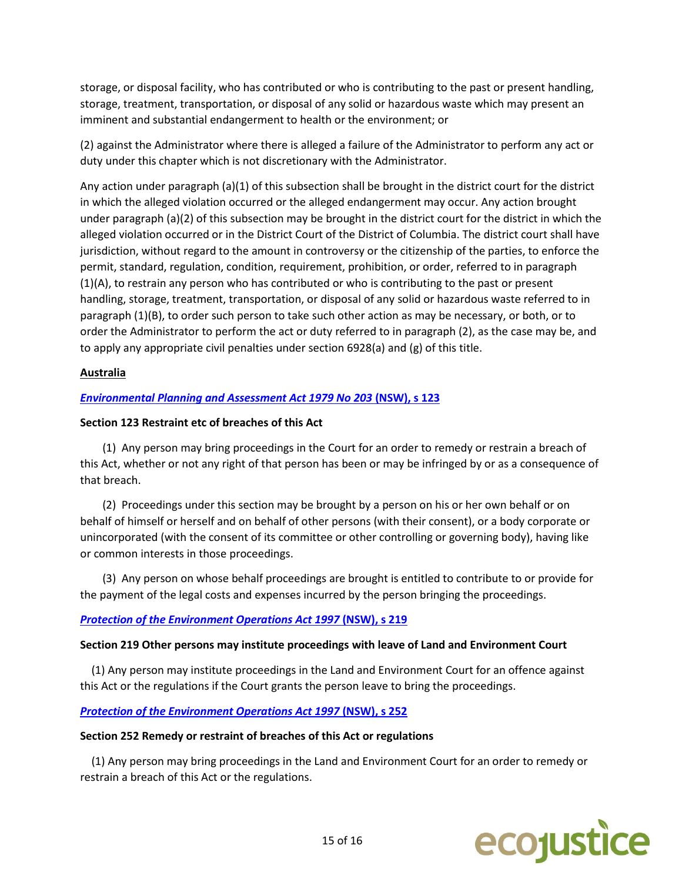storage, or disposal facility, who has contributed or who is contributing to the past or present handling, storage, treatment, transportation, or disposal of any solid or hazardous waste which may present an imminent and substantial endangerment to health or the environment; or

(2) against the Administrator where there is alleged a failure of the Administrator to perform any act or duty under this chapter which is not discretionary with the Administrator.

Any action under paragraph (a)(1) of this subsection shall be brought in the district court for the district in which the alleged violation occurred or the alleged endangerment may occur. Any action brought under paragraph (a)(2) of this subsection may be brought in the district court for the district in which the alleged violation occurred or in the District Court of the District of Columbia. The district court shall have jurisdiction, without regard to the amount in controversy or the citizenship of the parties, to enforce the permit, standard, regulation, condition, requirement, prohibition, or order, referred to in paragraph (1)(A), to restrain any person who has contributed or who is contributing to the past or present handling, storage, treatment, transportation, or disposal of any solid or hazardous waste referred to in paragraph (1)(B), to order such person to take such other action as may be necessary, or both, or to order the Administrator to perform the act or duty referred to in paragraph (2), as the case may be, and to apply any appropriate civil penalties under section 6928(a) and (g) of this title.

## **Australia**

## *[Environmental Planning and Assessment Act 1979 No 203](http://www.legislation.nsw.gov.au/#/view/act/1979/203/part6/div3/sec123)* **(NSW), s 123**

### **Section 123 Restraint etc of breaches of this Act**

 (1) Any person may bring proceedings in the Court for an order to remedy or restrain a breach of this Act, whether or not any right of that person has been or may be infringed by or as a consequence of that breach.

 (2) Proceedings under this section may be brought by a person on his or her own behalf or on behalf of himself or herself and on behalf of other persons (with their consent), or a body corporate or unincorporated (with the consent of its committee or other controlling or governing body), having like or common interests in those proceedings.

 (3) Any person on whose behalf proceedings are brought is entitled to contribute to or provide for the payment of the legal costs and expenses incurred by the person bringing the proceedings.

### *[Protection of the Environment Operations Act 1997](http://www.austlii.edu.au/au/legis/nsw/consol_act/poteoa1997455/s219.html)* **(NSW), s 219**

### **Section 219 Other persons may institute proceedings with leave of Land and Environment Court**

 (1) Any person may institute proceedings in the Land and Environment Court for an offence against this Act or the regulations if the Court grants the person leave to bring the proceedings.

### **[Protection of the Environment Operations Act 1997](http://www.austlii.edu.au/au/legis/nsw/consol_act/poteoa1997455/s252.html) (NSW), s 252**

#### **Section 252 Remedy or restraint of breaches of this Act or regulations**

 (1) Any person may bring proceedings in the Land and Environment Court for an order to remedy or restrain a breach of this Act or the regulations.